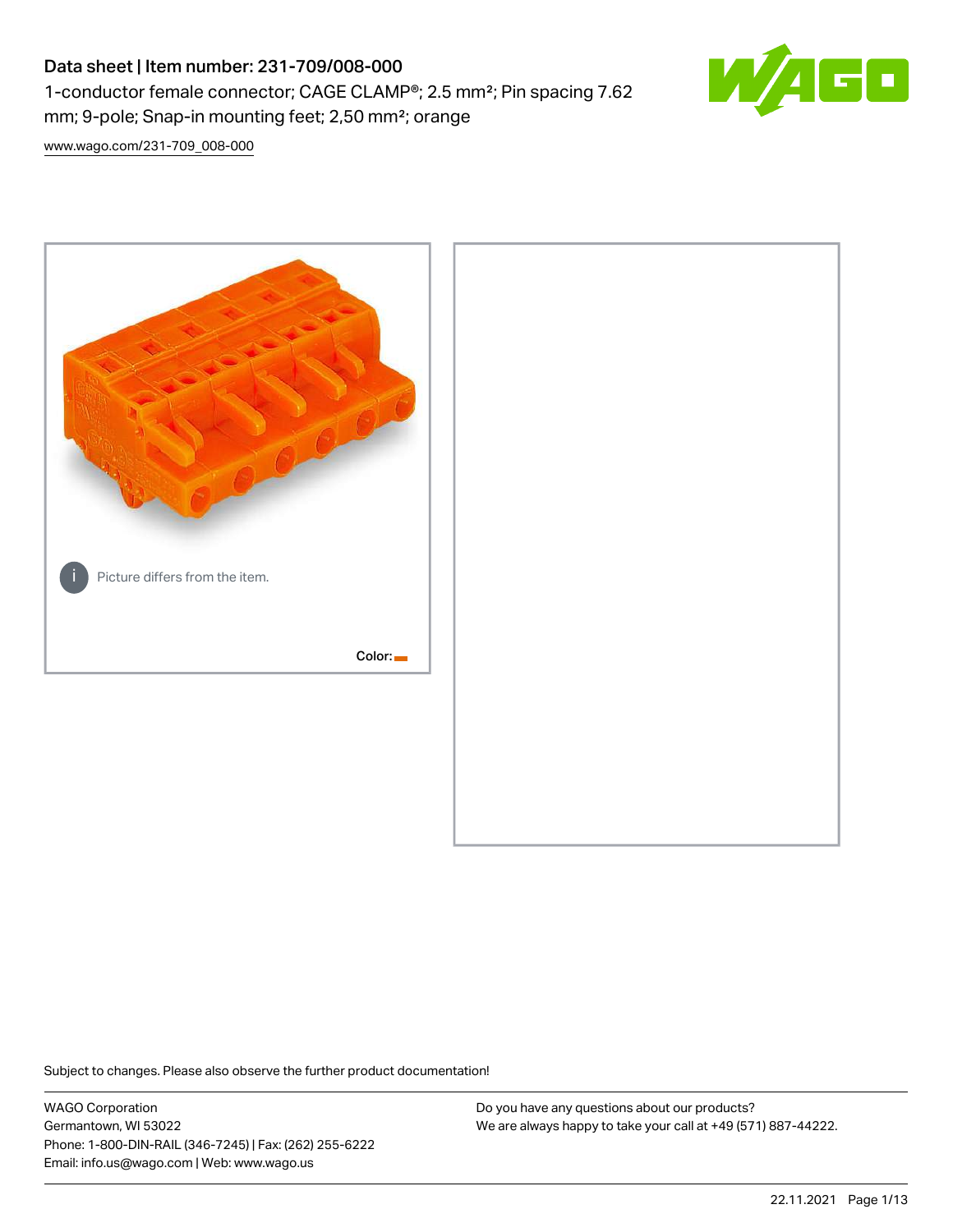# Data sheet | Item number: 231-709/008-000 1-conductor female connector; CAGE CLAMP®; 2.5 mm²; Pin spacing 7.62 mm; 9-pole; Snap-in mounting feet; 2,50 mm²; orange



[www.wago.com/231-709\\_008-000](http://www.wago.com/231-709_008-000)



Subject to changes. Please also observe the further product documentation!

WAGO Corporation Germantown, WI 53022 Phone: 1-800-DIN-RAIL (346-7245) | Fax: (262) 255-6222 Email: info.us@wago.com | Web: www.wago.us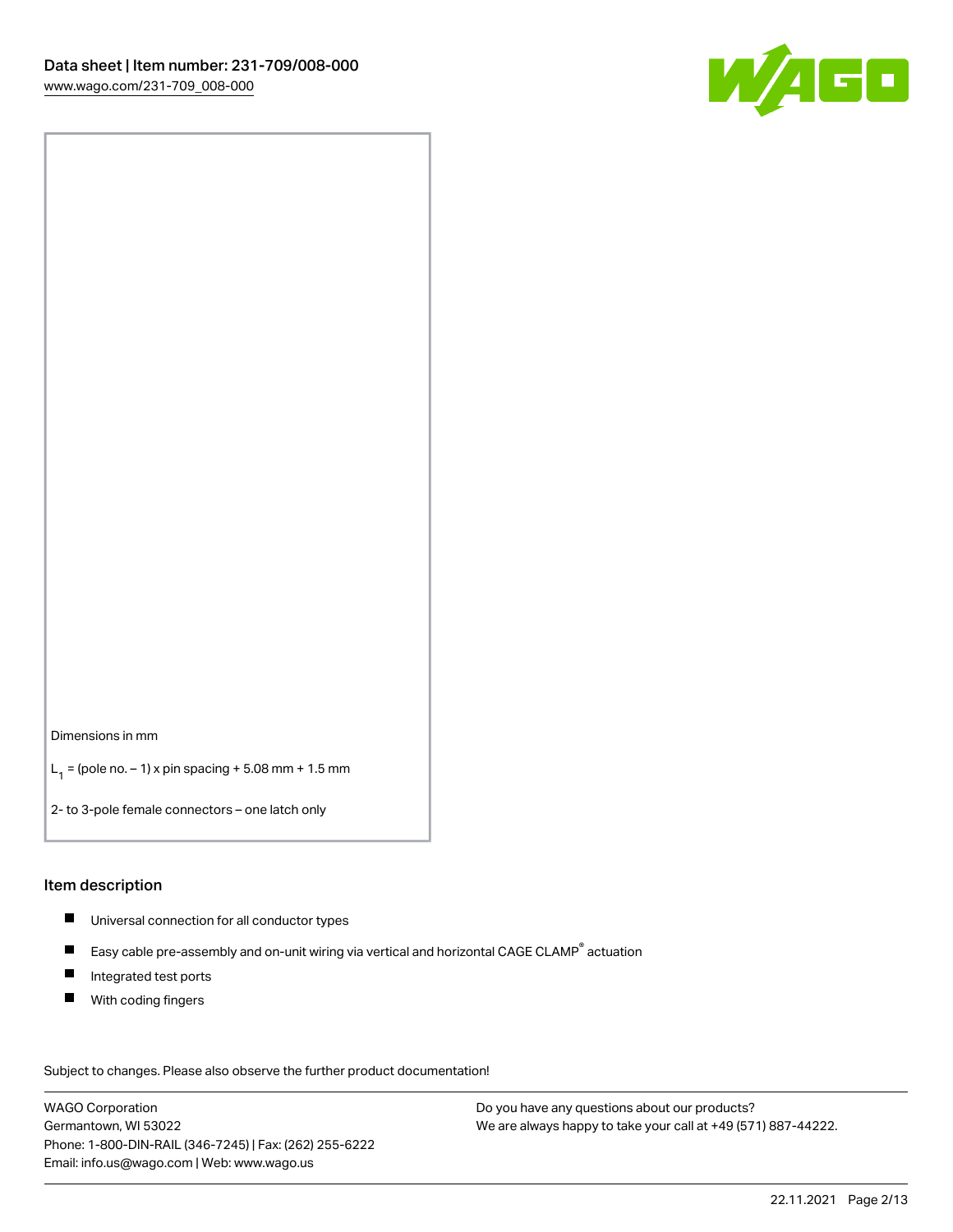

Dimensions in mm

 $L_1 =$  (pole no.  $-1$ ) x pin spacing + 5.08 mm + 1.5 mm

2- to 3-pole female connectors – one latch only

#### Item description

- Universal connection for all conductor types
- $\blacksquare$ Easy cable pre-assembly and on-unit wiring via vertical and horizontal CAGE CLAMP<sup>®</sup> actuation
- $\blacksquare$ Integrated test ports
- $\blacksquare$ With coding fingers

Subject to changes. Please also observe the further product documentation! Data

WAGO Corporation Germantown, WI 53022 Phone: 1-800-DIN-RAIL (346-7245) | Fax: (262) 255-6222 Email: info.us@wago.com | Web: www.wago.us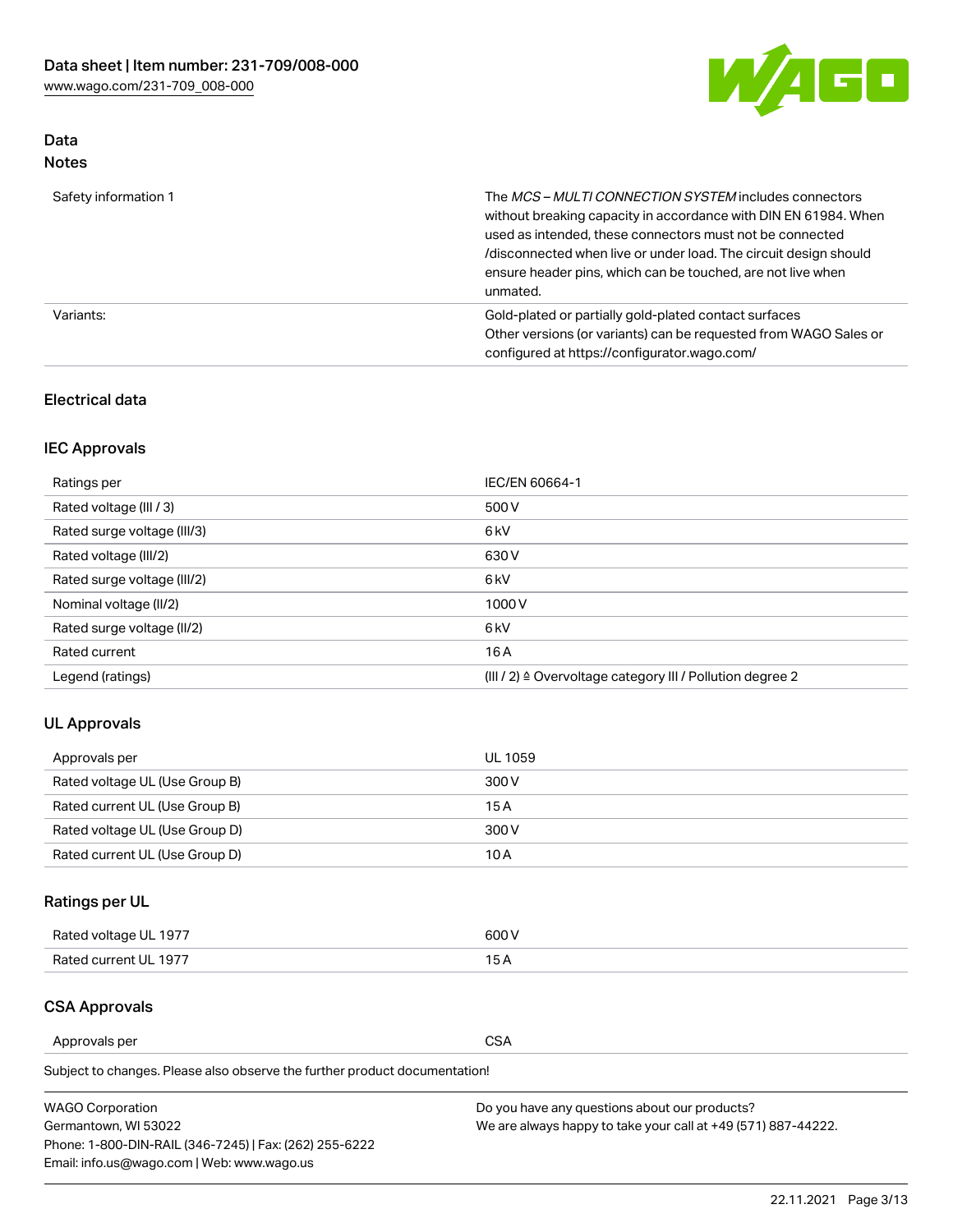

# Data Notes

| Safety information 1 | The MCS-MULTI CONNECTION SYSTEM includes connectors<br>without breaking capacity in accordance with DIN EN 61984. When<br>used as intended, these connectors must not be connected<br>/disconnected when live or under load. The circuit design should<br>ensure header pins, which can be touched, are not live when<br>unmated. |
|----------------------|-----------------------------------------------------------------------------------------------------------------------------------------------------------------------------------------------------------------------------------------------------------------------------------------------------------------------------------|
| Variants:            | Gold-plated or partially gold-plated contact surfaces<br>Other versions (or variants) can be requested from WAGO Sales or<br>configured at https://configurator.wago.com/                                                                                                                                                         |

# Electrical data

# IEC Approvals

| Ratings per                 | IEC/EN 60664-1                                                        |
|-----------------------------|-----------------------------------------------------------------------|
| Rated voltage (III / 3)     | 500 V                                                                 |
| Rated surge voltage (III/3) | 6 <sub>kV</sub>                                                       |
| Rated voltage (III/2)       | 630 V                                                                 |
| Rated surge voltage (III/2) | 6 <sub>k</sub> V                                                      |
| Nominal voltage (II/2)      | 1000V                                                                 |
| Rated surge voltage (II/2)  | 6 <sub>kV</sub>                                                       |
| Rated current               | 16A                                                                   |
| Legend (ratings)            | $(III / 2)$ $\triangle$ Overvoltage category III / Pollution degree 2 |

# UL Approvals

| Approvals per                  | UL 1059 |
|--------------------------------|---------|
| Rated voltage UL (Use Group B) | 300 V   |
| Rated current UL (Use Group B) | 15 A    |
| Rated voltage UL (Use Group D) | 300 V   |
| Rated current UL (Use Group D) | 10 A    |

# Ratings per UL

| Rated voltage UL 1977 | 300 V |
|-----------------------|-------|
| Rated current UL 1977 |       |

# CSA Approvals

Approvals per CSA

Subject to changes. Please also observe the further product documentation!

| <b>WAGO Corporation</b>                                | Do you have any questions about our products?                 |
|--------------------------------------------------------|---------------------------------------------------------------|
| Germantown, WI 53022                                   | We are always happy to take your call at +49 (571) 887-44222. |
| Phone: 1-800-DIN-RAIL (346-7245)   Fax: (262) 255-6222 |                                                               |
| Email: info.us@wago.com   Web: www.wago.us             |                                                               |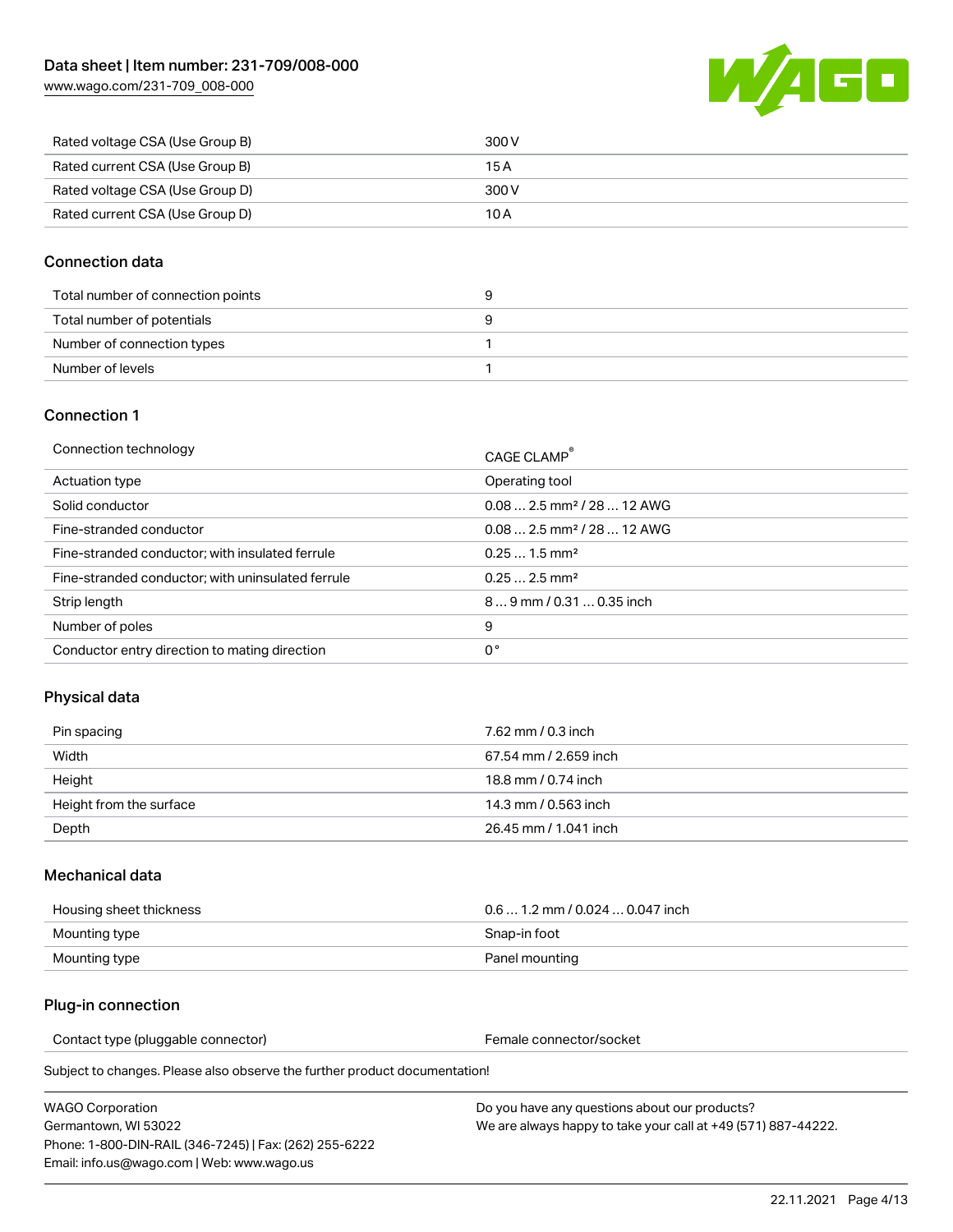[www.wago.com/231-709\\_008-000](http://www.wago.com/231-709_008-000)



| Rated voltage CSA (Use Group B) | 300 V |
|---------------------------------|-------|
| Rated current CSA (Use Group B) | 15 A  |
| Rated voltage CSA (Use Group D) | 300 V |
| Rated current CSA (Use Group D) | 10 A  |

### Connection data

| Total number of connection points |  |
|-----------------------------------|--|
| Total number of potentials        |  |
| Number of connection types        |  |
| Number of levels                  |  |

#### Connection 1

| Connection technology                             | CAGE CLAMP <sup>®</sup>                 |
|---------------------------------------------------|-----------------------------------------|
| Actuation type                                    | Operating tool                          |
| Solid conductor                                   | $0.082.5$ mm <sup>2</sup> / 28  12 AWG  |
| Fine-stranded conductor                           | $0.08$ 2.5 mm <sup>2</sup> / 28  12 AWG |
| Fine-stranded conductor; with insulated ferrule   | $0.251.5$ mm <sup>2</sup>               |
| Fine-stranded conductor; with uninsulated ferrule | $0.252.5$ mm <sup>2</sup>               |
| Strip length                                      | 89 mm / 0.31  0.35 inch                 |
| Number of poles                                   | 9                                       |
| Conductor entry direction to mating direction     | 0°                                      |

# Physical data

| Pin spacing             | 7.62 mm / 0.3 inch    |
|-------------------------|-----------------------|
| Width                   | 67.54 mm / 2.659 inch |
| Height                  | 18.8 mm / 0.74 inch   |
| Height from the surface | 14.3 mm / 0.563 inch  |
| Depth                   | 26.45 mm / 1.041 inch |

#### Mechanical data

| Housing sheet thickness | $0.61.2$ mm $/0.0240.047$ inch |
|-------------------------|--------------------------------|
| Mounting type           | Snap-in foot                   |
| Mounting type           | Panel mounting                 |

#### Plug-in connection

Contact type (pluggable connector) example a set of the Female connector/socket

Subject to changes. Please also observe the further product documentation!

WAGO Corporation Germantown, WI 53022 Phone: 1-800-DIN-RAIL (346-7245) | Fax: (262) 255-6222 Email: info.us@wago.com | Web: www.wago.us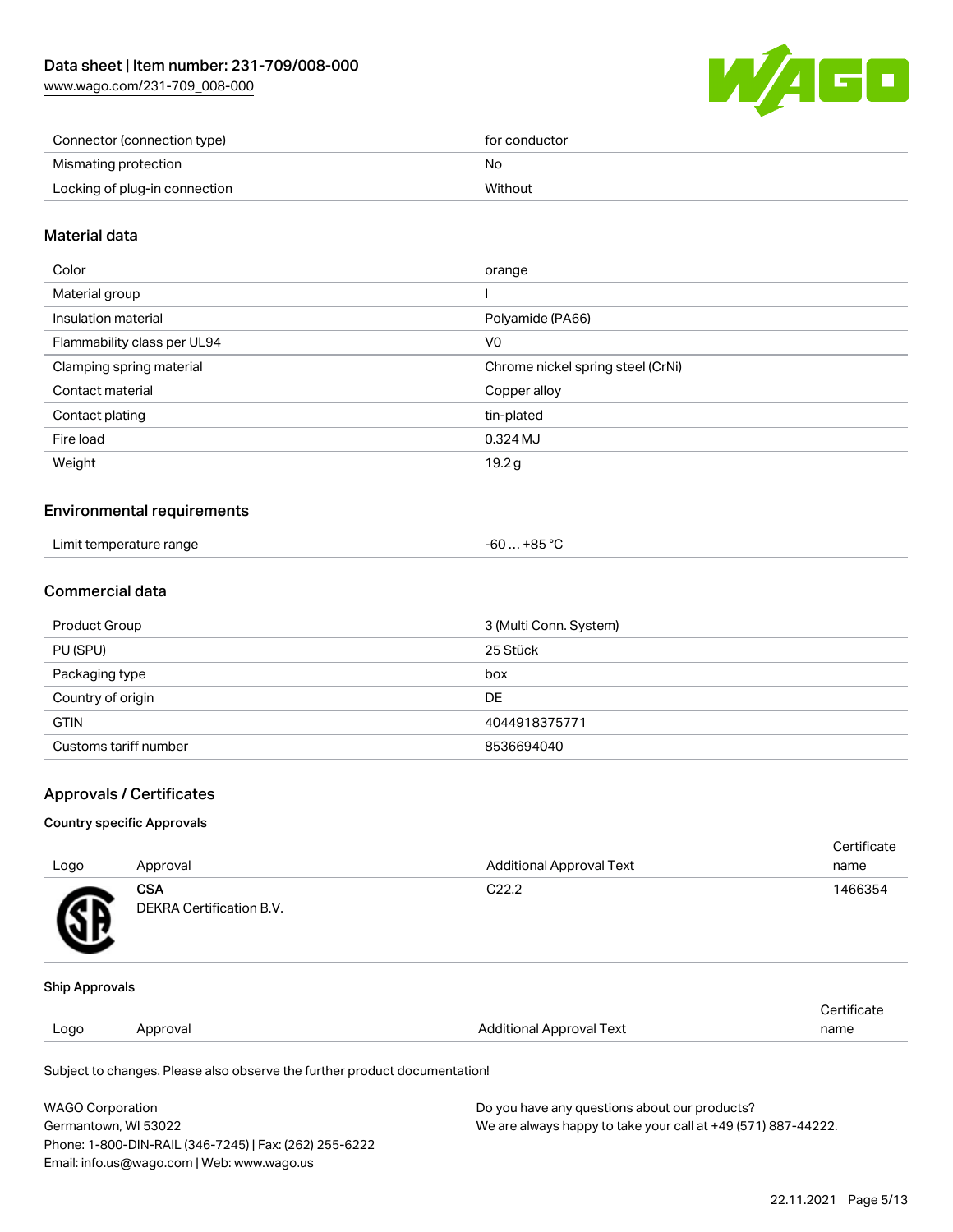[www.wago.com/231-709\\_008-000](http://www.wago.com/231-709_008-000)



| Connector (connection type)   | for conductor |
|-------------------------------|---------------|
| Mismating protection          | No            |
| Locking of plug-in connection | Without       |

### Material data

| Color                       | orange                            |
|-----------------------------|-----------------------------------|
| Material group              |                                   |
| Insulation material         | Polyamide (PA66)                  |
| Flammability class per UL94 | V0                                |
| Clamping spring material    | Chrome nickel spring steel (CrNi) |
| Contact material            | Copper alloy                      |
| Contact plating             | tin-plated                        |
| Fire load                   | 0.324 MJ                          |
| Weight                      | 19.2g                             |
|                             |                                   |

#### Environmental requirements

| Limit temperature range | .+85 °C<br>-60 |
|-------------------------|----------------|
|-------------------------|----------------|

# Commercial data

| Product Group         | 3 (Multi Conn. System) |
|-----------------------|------------------------|
| PU (SPU)              | 25 Stück               |
| Packaging type        | box                    |
| Country of origin     | DE                     |
| <b>GTIN</b>           | 4044918375771          |
| Customs tariff number | 8536694040             |

#### Approvals / Certificates

#### Country specific Approvals

| Logo                  | Approval                               | <b>Additional Approval Text</b> | Certificate<br>name |
|-----------------------|----------------------------------------|---------------------------------|---------------------|
| SB.                   | <b>CSA</b><br>DEKRA Certification B.V. | C <sub>22.2</sub>               | 1466354             |
| <b>Ship Approvals</b> |                                        |                                 |                     |
| Logo                  | Approval                               | <b>Additional Approval Text</b> | Certificate<br>name |

Subject to changes. Please also observe the further product documentation!

| <b>WAGO Corporation</b>                                | Do you have any questions about our products?                 |  |
|--------------------------------------------------------|---------------------------------------------------------------|--|
| Germantown, WI 53022                                   | We are always happy to take your call at +49 (571) 887-44222. |  |
| Phone: 1-800-DIN-RAIL (346-7245)   Fax: (262) 255-6222 |                                                               |  |
| Email: info.us@wago.com   Web: www.wago.us             |                                                               |  |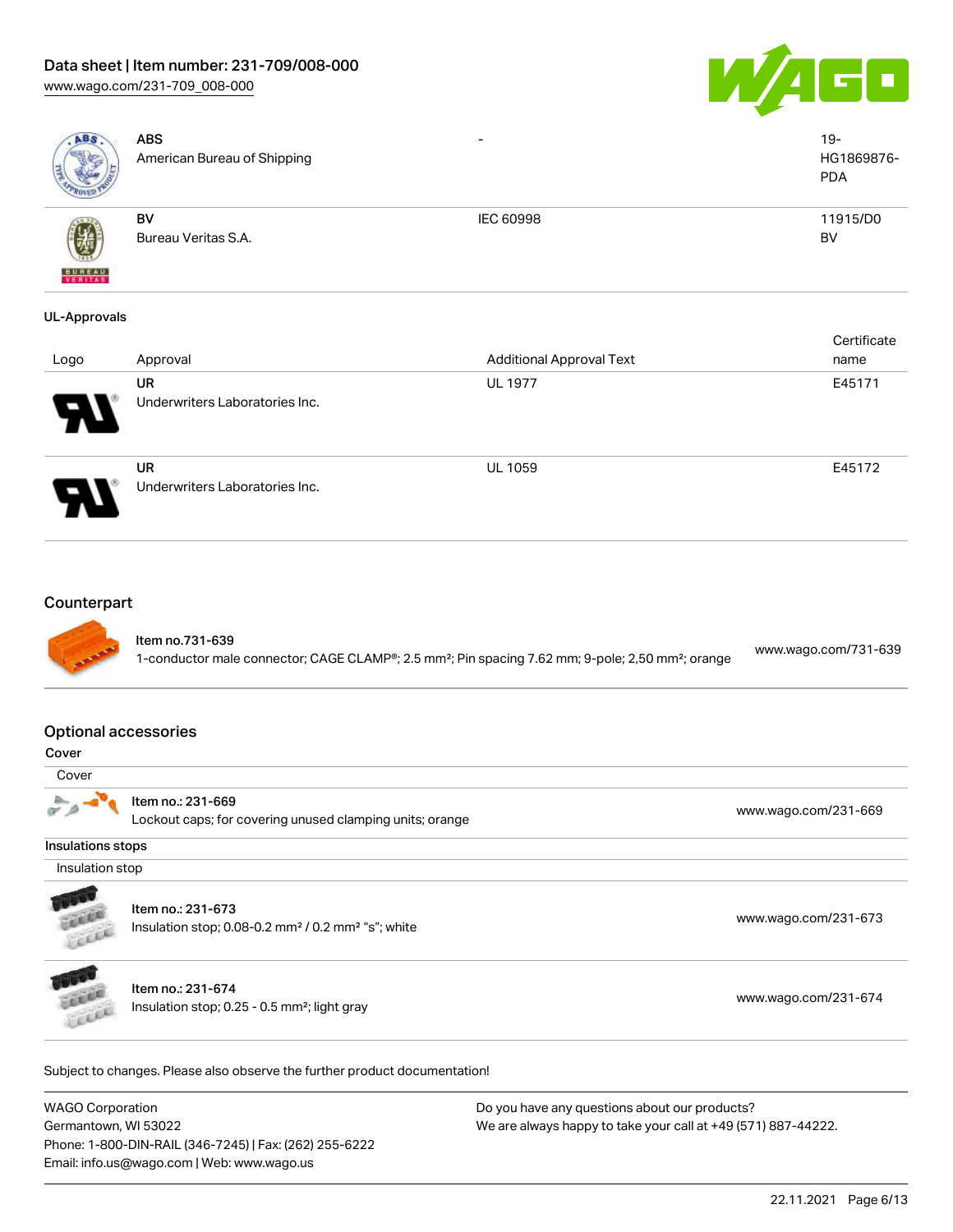# Data sheet | Item number: 231-709/008-000

[www.wago.com/231-709\\_008-000](http://www.wago.com/231-709_008-000)



| ABS                                        | <b>ABS</b><br>American Bureau of Shipping                                                       |                                                                                                                           | $19 -$<br>HG1869876-<br><b>PDA</b> |
|--------------------------------------------|-------------------------------------------------------------------------------------------------|---------------------------------------------------------------------------------------------------------------------------|------------------------------------|
| VERITAS                                    | BV<br>Bureau Veritas S.A.                                                                       | IEC 60998                                                                                                                 | 11915/D0<br><b>BV</b>              |
| <b>UL-Approvals</b>                        |                                                                                                 |                                                                                                                           |                                    |
| Logo                                       | Approval                                                                                        | <b>Additional Approval Text</b>                                                                                           | Certificate<br>name                |
|                                            | <b>UR</b><br>Underwriters Laboratories Inc.                                                     | <b>UL 1977</b>                                                                                                            | E45171                             |
|                                            | <b>UR</b><br>Underwriters Laboratories Inc.                                                     | <b>UL 1059</b>                                                                                                            | E45172                             |
| Counterpart<br><b>Optional accessories</b> | Item no.731-639                                                                                 | 1-conductor male connector; CAGE CLAMP®; 2.5 mm <sup>2</sup> ; Pin spacing 7.62 mm; 9-pole; 2,50 mm <sup>2</sup> ; orange | www.wago.com/731-639               |
| Cover                                      |                                                                                                 |                                                                                                                           |                                    |
| Cover                                      |                                                                                                 |                                                                                                                           |                                    |
|                                            | Item no.: 231-669<br>Lockout caps; for covering unused clamping units; orange                   |                                                                                                                           | www.wago.com/231-669               |
| Insulations stops                          |                                                                                                 |                                                                                                                           |                                    |
| Insulation stop                            |                                                                                                 |                                                                                                                           |                                    |
| Licia                                      | Item no.: 231-673<br>Insulation stop; 0.08-0.2 mm <sup>2</sup> / 0.2 mm <sup>2</sup> "s"; white |                                                                                                                           | www.wago.com/231-673               |
|                                            | Item no.: 231-674<br>Insulation stop; 0.25 - 0.5 mm <sup>2</sup> ; light gray                   |                                                                                                                           | www.wago.com/231-674               |
|                                            | Subject to changes. Please also observe the further product documentation!                      |                                                                                                                           |                                    |
| <b>WACO Corporation</b>                    |                                                                                                 | Do vou have any questions about our products?                                                                             |                                    |

WAGO Corporation Germantown, WI 53022 Phone: 1-800-DIN-RAIL (346-7245) | Fax: (262) 255-6222 Email: info.us@wago.com | Web: www.wago.us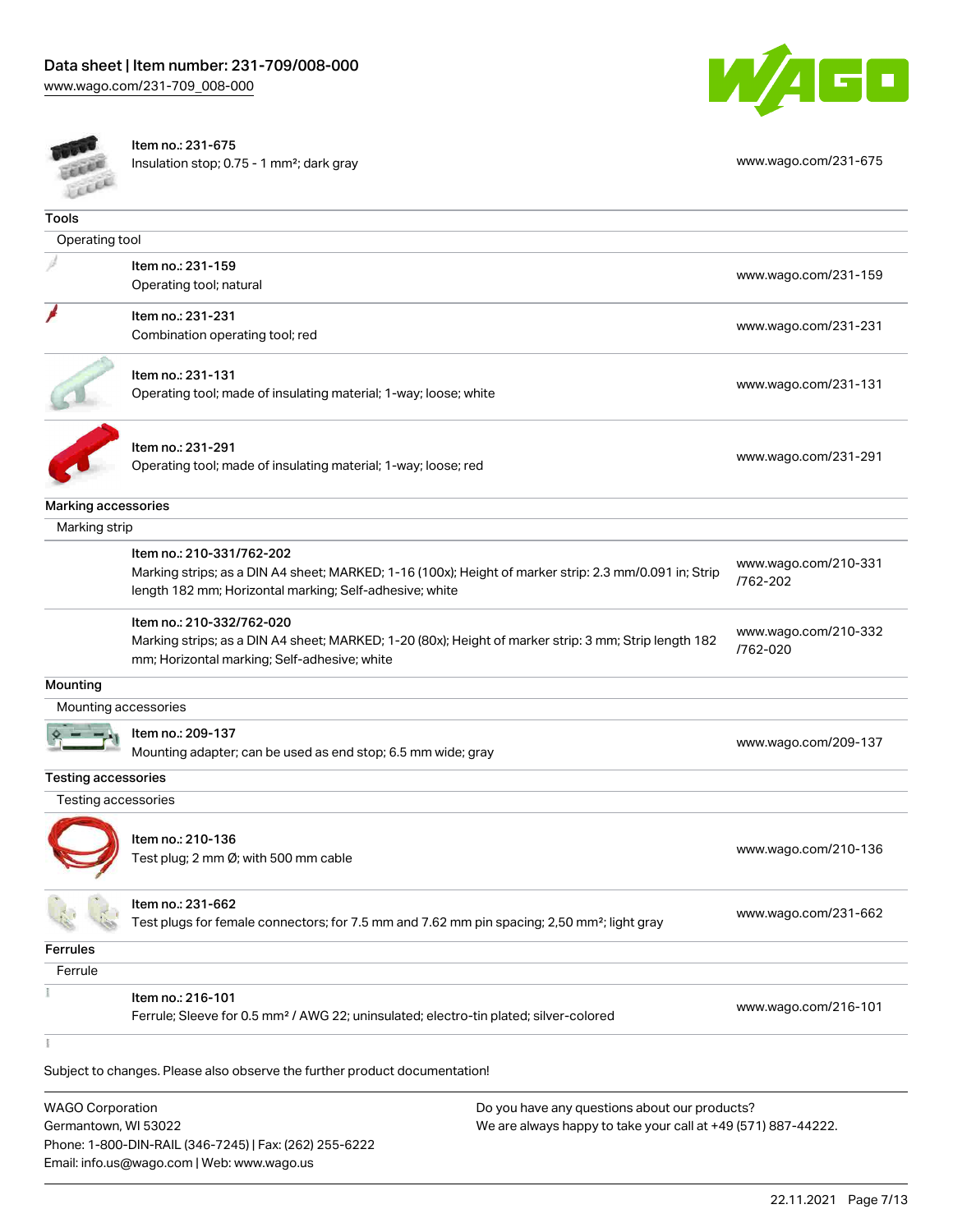



Item no.: 231-675

Phone: 1-800-DIN-RAIL (346-7245) | Fax: (262) 255-6222

Email: info.us@wago.com | Web: www.wago.us

Insulation stop; 0.75 - 1 mm²; dark gray [www.wago.com/231-675](http://www.wago.com/231-675)

| <b>CERA</b>                |                                                                                                         |                                                               |                                  |
|----------------------------|---------------------------------------------------------------------------------------------------------|---------------------------------------------------------------|----------------------------------|
| <b>Tools</b>               |                                                                                                         |                                                               |                                  |
| Operating tool             |                                                                                                         |                                                               |                                  |
|                            | Item no.: 231-159                                                                                       |                                                               | www.wago.com/231-159             |
|                            | Operating tool; natural                                                                                 |                                                               |                                  |
|                            | Item no.: 231-231                                                                                       |                                                               |                                  |
|                            | Combination operating tool; red                                                                         |                                                               | www.wago.com/231-231             |
|                            |                                                                                                         |                                                               |                                  |
|                            | Item no.: 231-131                                                                                       |                                                               | www.wago.com/231-131             |
|                            | Operating tool; made of insulating material; 1-way; loose; white                                        |                                                               |                                  |
|                            | Item no.: 231-291                                                                                       |                                                               |                                  |
|                            | Operating tool; made of insulating material; 1-way; loose; red                                          |                                                               | www.wago.com/231-291             |
|                            |                                                                                                         |                                                               |                                  |
| Marking accessories        |                                                                                                         |                                                               |                                  |
| Marking strip              |                                                                                                         |                                                               |                                  |
|                            | Item no.: 210-331/762-202                                                                               |                                                               | www.wago.com/210-331             |
|                            | Marking strips; as a DIN A4 sheet; MARKED; 1-16 (100x); Height of marker strip: 2.3 mm/0.091 in; Strip  |                                                               | /762-202                         |
|                            | length 182 mm; Horizontal marking; Self-adhesive; white                                                 |                                                               |                                  |
|                            | Item no.: 210-332/762-020                                                                               |                                                               |                                  |
|                            | Marking strips; as a DIN A4 sheet; MARKED; 1-20 (80x); Height of marker strip: 3 mm; Strip length 182   |                                                               | www.wago.com/210-332<br>/762-020 |
|                            | mm; Horizontal marking; Self-adhesive; white                                                            |                                                               |                                  |
| Mounting                   |                                                                                                         |                                                               |                                  |
| Mounting accessories       |                                                                                                         |                                                               |                                  |
|                            | Item no.: 209-137                                                                                       |                                                               | www.wago.com/209-137             |
|                            | Mounting adapter; can be used as end stop; 6.5 mm wide; gray                                            |                                                               |                                  |
| <b>Testing accessories</b> |                                                                                                         |                                                               |                                  |
| Testing accessories        |                                                                                                         |                                                               |                                  |
|                            |                                                                                                         |                                                               |                                  |
|                            | Item no.: 210-136<br>Test plug; 2 mm Ø; with 500 mm cable                                               |                                                               | www.wago.com/210-136             |
|                            |                                                                                                         |                                                               |                                  |
|                            | Item no.: 231-662                                                                                       |                                                               |                                  |
|                            | Test plugs for female connectors; for 7.5 mm and 7.62 mm pin spacing; 2,50 mm <sup>2</sup> ; light gray |                                                               | www.wago.com/231-662             |
| <b>Ferrules</b>            |                                                                                                         |                                                               |                                  |
| Ferrule                    |                                                                                                         |                                                               |                                  |
|                            | Item no.: 216-101                                                                                       |                                                               |                                  |
|                            | Ferrule; Sleeve for 0.5 mm <sup>2</sup> / AWG 22; uninsulated; electro-tin plated; silver-colored       |                                                               | www.wago.com/216-101             |
|                            |                                                                                                         |                                                               |                                  |
|                            | Subject to changes. Please also observe the further product documentation!                              |                                                               |                                  |
| <b>WAGO Corporation</b>    |                                                                                                         | Do you have any questions about our products?                 |                                  |
| Germantown, WI 53022       |                                                                                                         | We are always happy to take your call at +49 (571) 887-44222. |                                  |
|                            |                                                                                                         |                                                               |                                  |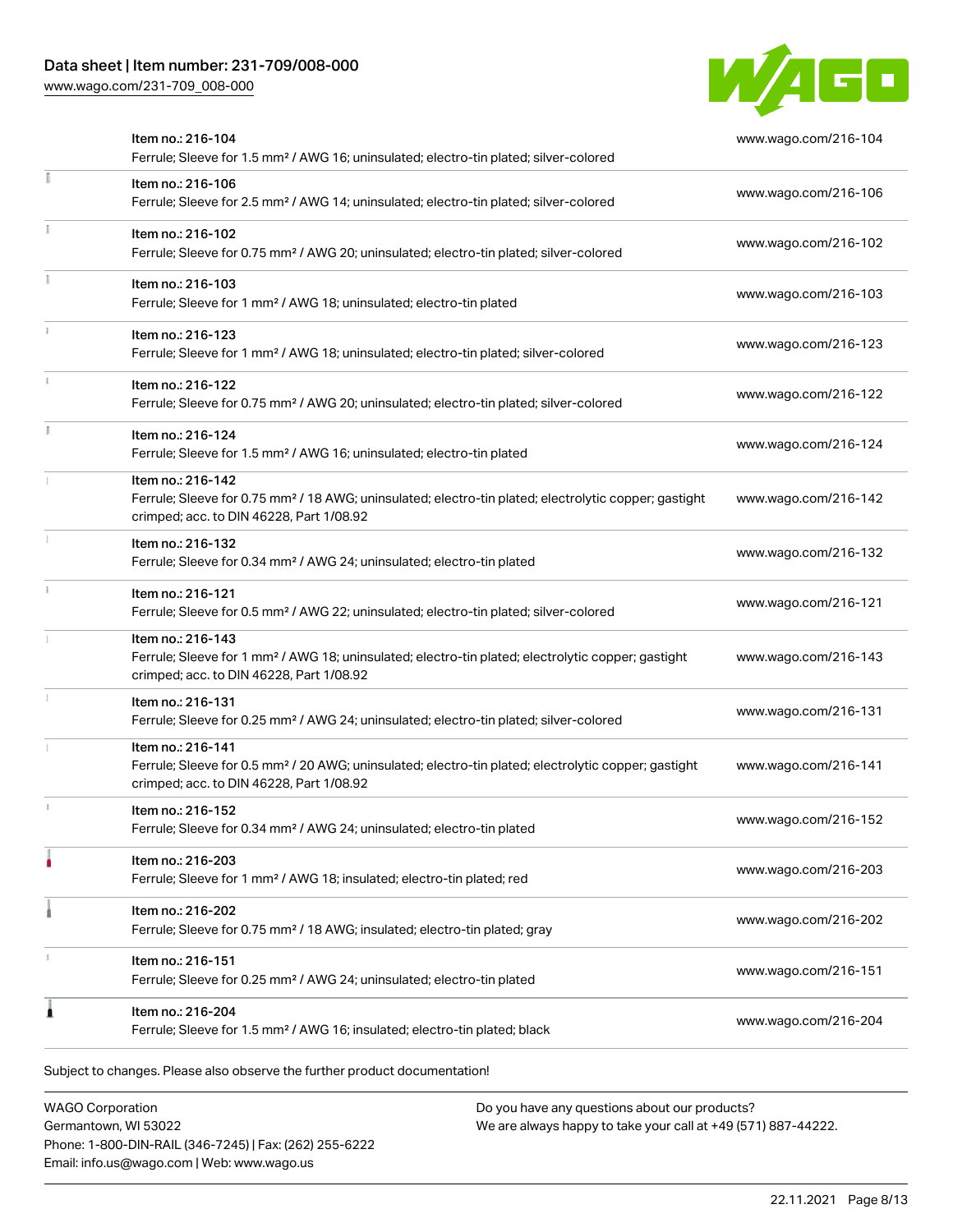# Data sheet | Item number: 231-709/008-000

[www.wago.com/231-709\\_008-000](http://www.wago.com/231-709_008-000)



|   | Item no.: 216-104<br>Ferrule; Sleeve for 1.5 mm <sup>2</sup> / AWG 16; uninsulated; electro-tin plated; silver-colored                                                             | www.wago.com/216-104 |
|---|------------------------------------------------------------------------------------------------------------------------------------------------------------------------------------|----------------------|
| E | Item no.: 216-106<br>Ferrule; Sleeve for 2.5 mm <sup>2</sup> / AWG 14; uninsulated; electro-tin plated; silver-colored                                                             | www.wago.com/216-106 |
|   | Item no.: 216-102<br>Ferrule; Sleeve for 0.75 mm <sup>2</sup> / AWG 20; uninsulated; electro-tin plated; silver-colored                                                            | www.wago.com/216-102 |
|   | Item no.: 216-103<br>Ferrule; Sleeve for 1 mm <sup>2</sup> / AWG 18; uninsulated; electro-tin plated                                                                               | www.wago.com/216-103 |
|   | Item no.: 216-123<br>Ferrule; Sleeve for 1 mm <sup>2</sup> / AWG 18; uninsulated; electro-tin plated; silver-colored                                                               | www.wago.com/216-123 |
|   | Item no.: 216-122<br>Ferrule; Sleeve for 0.75 mm <sup>2</sup> / AWG 20; uninsulated; electro-tin plated; silver-colored                                                            | www.wago.com/216-122 |
|   | Item no.: 216-124<br>Ferrule; Sleeve for 1.5 mm <sup>2</sup> / AWG 16; uninsulated; electro-tin plated                                                                             | www.wago.com/216-124 |
|   | Item no.: 216-142<br>Ferrule; Sleeve for 0.75 mm <sup>2</sup> / 18 AWG; uninsulated; electro-tin plated; electrolytic copper; gastight<br>crimped; acc. to DIN 46228, Part 1/08.92 | www.wago.com/216-142 |
|   | Item no.: 216-132<br>Ferrule; Sleeve for 0.34 mm <sup>2</sup> / AWG 24; uninsulated; electro-tin plated                                                                            | www.wago.com/216-132 |
|   | Item no.: 216-121<br>Ferrule; Sleeve for 0.5 mm <sup>2</sup> / AWG 22; uninsulated; electro-tin plated; silver-colored                                                             | www.wago.com/216-121 |
|   | Item no.: 216-143<br>Ferrule; Sleeve for 1 mm <sup>2</sup> / AWG 18; uninsulated; electro-tin plated; electrolytic copper; gastight<br>crimped; acc. to DIN 46228, Part 1/08.92    | www.wago.com/216-143 |
|   | Item no.: 216-131<br>Ferrule; Sleeve for 0.25 mm <sup>2</sup> / AWG 24; uninsulated; electro-tin plated; silver-colored                                                            | www.wago.com/216-131 |
|   | Item no.: 216-141<br>Ferrule; Sleeve for 0.5 mm <sup>2</sup> / 20 AWG; uninsulated; electro-tin plated; electrolytic copper; gastight<br>crimped; acc. to DIN 46228, Part 1/08.92  | www.wago.com/216-141 |
|   | Item no.: 216-152<br>Ferrule; Sleeve for 0.34 mm <sup>2</sup> / AWG 24; uninsulated; electro-tin plated                                                                            | www.wago.com/216-152 |
|   | Item no.: 216-203<br>Ferrule; Sleeve for 1 mm <sup>2</sup> / AWG 18; insulated; electro-tin plated; red                                                                            | www.wago.com/216-203 |
|   | Item no.: 216-202<br>Ferrule; Sleeve for 0.75 mm <sup>2</sup> / 18 AWG; insulated; electro-tin plated; gray                                                                        | www.wago.com/216-202 |
|   | Item no.: 216-151<br>Ferrule; Sleeve for 0.25 mm <sup>2</sup> / AWG 24; uninsulated; electro-tin plated                                                                            | www.wago.com/216-151 |
|   | Item no.: 216-204<br>Ferrule; Sleeve for 1.5 mm <sup>2</sup> / AWG 16; insulated; electro-tin plated; black                                                                        | www.wago.com/216-204 |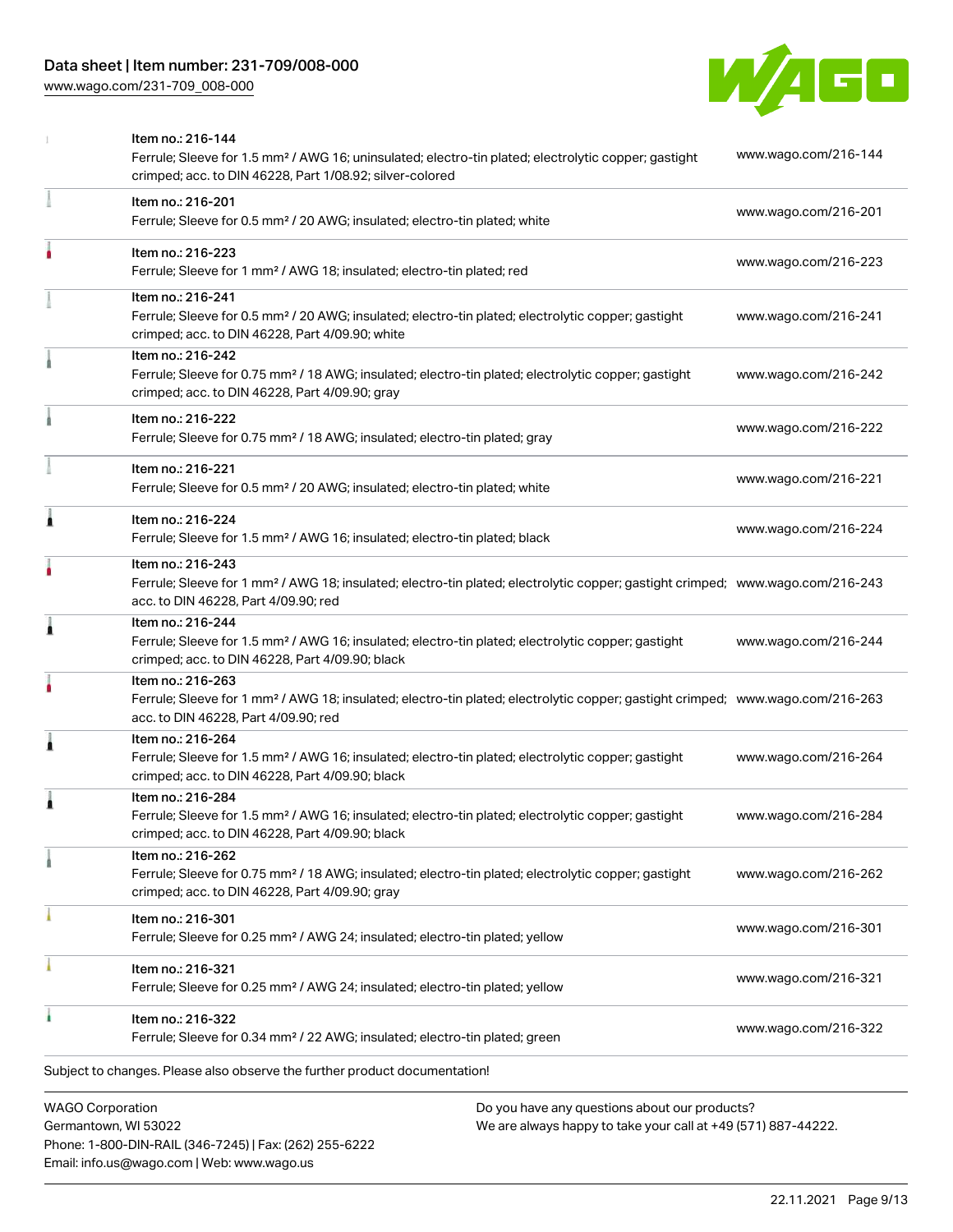[www.wago.com/231-709\\_008-000](http://www.wago.com/231-709_008-000)



|   | <b>WAGO Corporation</b><br>Do you have any questions about our products?                                                                                                                                |                      |
|---|---------------------------------------------------------------------------------------------------------------------------------------------------------------------------------------------------------|----------------------|
|   | Subject to changes. Please also observe the further product documentation!                                                                                                                              |                      |
|   | Item no.: 216-322<br>Ferrule; Sleeve for 0.34 mm <sup>2</sup> / 22 AWG; insulated; electro-tin plated; green                                                                                            | www.wago.com/216-322 |
|   | Item no.: 216-321<br>Ferrule; Sleeve for 0.25 mm <sup>2</sup> / AWG 24; insulated; electro-tin plated; yellow                                                                                           | www.wago.com/216-321 |
|   | Item no.: 216-301<br>Ferrule; Sleeve for 0.25 mm <sup>2</sup> / AWG 24; insulated; electro-tin plated; yellow                                                                                           | www.wago.com/216-301 |
|   | Item no.: 216-262<br>Ferrule; Sleeve for 0.75 mm <sup>2</sup> / 18 AWG; insulated; electro-tin plated; electrolytic copper; gastight<br>crimped; acc. to DIN 46228, Part 4/09.90; gray                  | www.wago.com/216-262 |
| 1 | Item no.: 216-284<br>Ferrule; Sleeve for 1.5 mm <sup>2</sup> / AWG 16; insulated; electro-tin plated; electrolytic copper; gastight<br>crimped; acc. to DIN 46228, Part 4/09.90; black                  | www.wago.com/216-284 |
| 1 | Item no.: 216-264<br>Ferrule; Sleeve for 1.5 mm <sup>2</sup> / AWG 16; insulated; electro-tin plated; electrolytic copper; gastight<br>crimped; acc. to DIN 46228, Part 4/09.90; black                  | www.wago.com/216-264 |
|   | Item no.: 216-263<br>Ferrule; Sleeve for 1 mm <sup>2</sup> / AWG 18; insulated; electro-tin plated; electrolytic copper; gastight crimped; www.wago.com/216-263<br>acc. to DIN 46228, Part 4/09.90; red |                      |
| 1 | Item no.: 216-244<br>Ferrule; Sleeve for 1.5 mm <sup>2</sup> / AWG 16; insulated; electro-tin plated; electrolytic copper; gastight<br>crimped; acc. to DIN 46228, Part 4/09.90; black                  | www.wago.com/216-244 |
|   | Item no.: 216-243<br>Ferrule; Sleeve for 1 mm <sup>2</sup> / AWG 18; insulated; electro-tin plated; electrolytic copper; gastight crimped; www.wago.com/216-243<br>acc. to DIN 46228, Part 4/09.90; red |                      |
| Ă | Item no.: 216-224<br>Ferrule; Sleeve for 1.5 mm <sup>2</sup> / AWG 16; insulated; electro-tin plated; black                                                                                             | www.wago.com/216-224 |
|   | Item no.: 216-221<br>Ferrule; Sleeve for 0.5 mm <sup>2</sup> / 20 AWG; insulated; electro-tin plated; white                                                                                             | www.wago.com/216-221 |
|   | Item no.: 216-222<br>Ferrule; Sleeve for 0.75 mm <sup>2</sup> / 18 AWG; insulated; electro-tin plated; gray                                                                                             | www.wago.com/216-222 |
|   | Item no.: 216-242<br>Ferrule; Sleeve for 0.75 mm <sup>2</sup> / 18 AWG; insulated; electro-tin plated; electrolytic copper; gastight<br>crimped; acc. to DIN 46228, Part 4/09.90; gray                  | www.wago.com/216-242 |
|   | Item no.: 216-241<br>Ferrule; Sleeve for 0.5 mm <sup>2</sup> / 20 AWG; insulated; electro-tin plated; electrolytic copper; gastight<br>crimped; acc. to DIN 46228, Part 4/09.90; white                  | www.wago.com/216-241 |
|   | Item no.: 216-223<br>Ferrule; Sleeve for 1 mm <sup>2</sup> / AWG 18; insulated; electro-tin plated; red                                                                                                 | www.wago.com/216-223 |
|   | Item no.: 216-201<br>Ferrule; Sleeve for 0.5 mm <sup>2</sup> / 20 AWG; insulated; electro-tin plated; white                                                                                             | www.wago.com/216-201 |
|   | Item no.: 216-144<br>Ferrule; Sleeve for 1.5 mm <sup>2</sup> / AWG 16; uninsulated; electro-tin plated; electrolytic copper; gastight<br>crimped; acc. to DIN 46228, Part 1/08.92; silver-colored       | www.wago.com/216-144 |

Germantown, WI 53022 Phone: 1-800-DIN-RAIL (346-7245) | Fax: (262) 255-6222 Email: info.us@wago.com | Web: www.wago.us

 $\overline{\phantom{\alpha}}$  any questions about o We are always happy to take your call at +49 (571) 887-44222.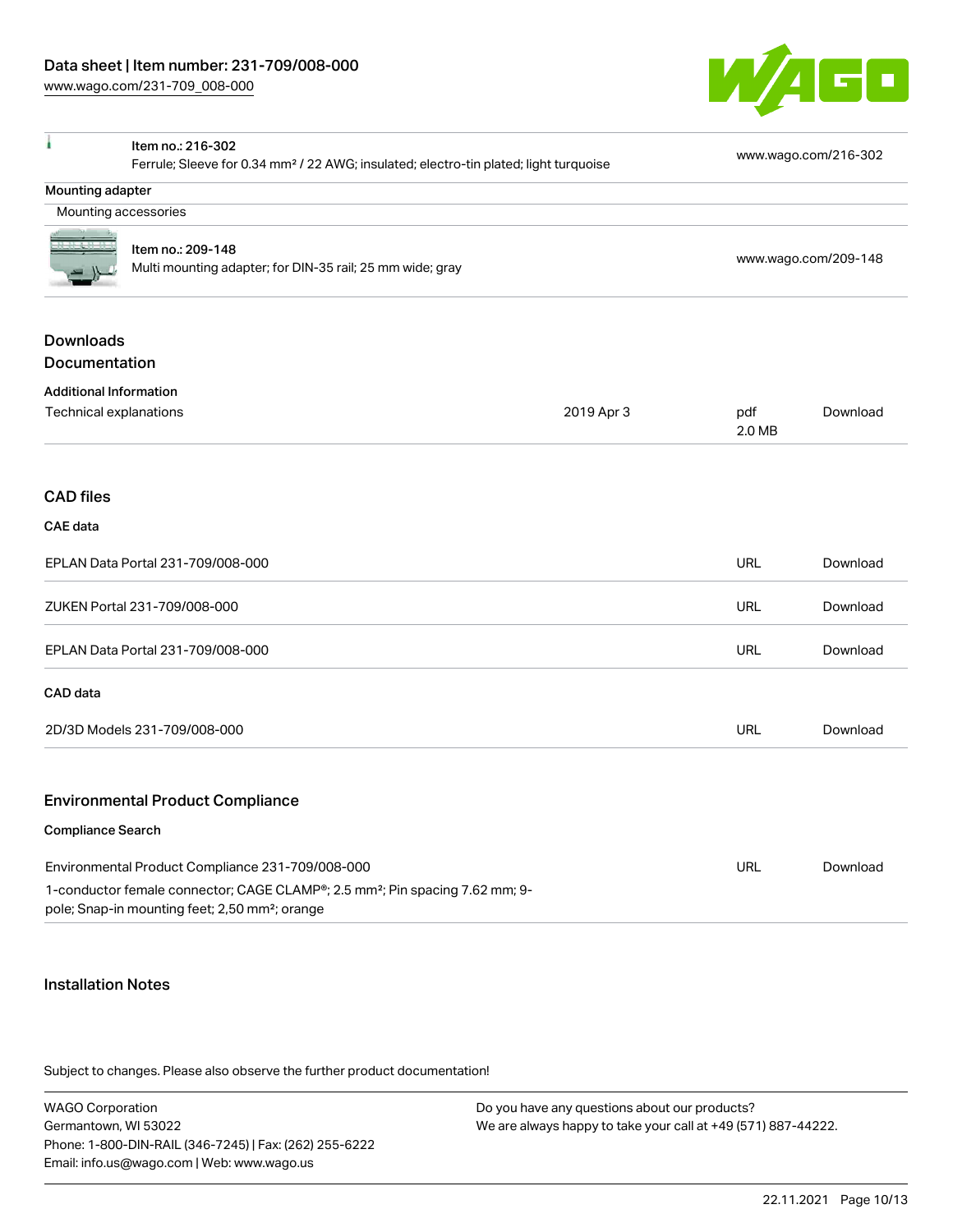

| ۸                                                                                                 | Item no.: 216-302                                                                                                                                      |            |               | www.wago.com/216-302 |
|---------------------------------------------------------------------------------------------------|--------------------------------------------------------------------------------------------------------------------------------------------------------|------------|---------------|----------------------|
| Ferrule; Sleeve for 0.34 mm <sup>2</sup> / 22 AWG; insulated; electro-tin plated; light turquoise |                                                                                                                                                        |            |               |                      |
| Mounting adapter                                                                                  |                                                                                                                                                        |            |               |                      |
| Mounting accessories                                                                              |                                                                                                                                                        |            |               |                      |
|                                                                                                   | Item no.: 209-148                                                                                                                                      |            |               |                      |
|                                                                                                   | Multi mounting adapter; for DIN-35 rail; 25 mm wide; gray                                                                                              |            |               | www.wago.com/209-148 |
| <b>Downloads</b>                                                                                  |                                                                                                                                                        |            |               |                      |
| Documentation                                                                                     |                                                                                                                                                        |            |               |                      |
| <b>Additional Information</b>                                                                     |                                                                                                                                                        |            |               |                      |
| Technical explanations                                                                            |                                                                                                                                                        | 2019 Apr 3 | pdf<br>2.0 MB | Download             |
| <b>CAD</b> files                                                                                  |                                                                                                                                                        |            |               |                      |
| <b>CAE</b> data                                                                                   |                                                                                                                                                        |            |               |                      |
|                                                                                                   | EPLAN Data Portal 231-709/008-000                                                                                                                      |            | <b>URL</b>    | Download             |
|                                                                                                   | ZUKEN Portal 231-709/008-000                                                                                                                           |            | <b>URL</b>    | Download             |
|                                                                                                   | EPLAN Data Portal 231-709/008-000                                                                                                                      |            | <b>URL</b>    | Download             |
| CAD data                                                                                          |                                                                                                                                                        |            |               |                      |
|                                                                                                   | 2D/3D Models 231-709/008-000                                                                                                                           |            | <b>URL</b>    | Download             |
|                                                                                                   | <b>Environmental Product Compliance</b>                                                                                                                |            |               |                      |
| <b>Compliance Search</b>                                                                          |                                                                                                                                                        |            |               |                      |
|                                                                                                   | Environmental Product Compliance 231-709/008-000                                                                                                       |            | <b>URL</b>    | Download             |
|                                                                                                   | 1-conductor female connector; CAGE CLAMP®; 2.5 mm <sup>2</sup> ; Pin spacing 7.62 mm; 9-<br>pole; Snap-in mounting feet; 2,50 mm <sup>2</sup> ; orange |            |               |                      |

#### Installation Notes

Subject to changes. Please also observe the further product documentation!

| <b>WAGO Corporation</b>                                | Do you have any questions about our products?                 |
|--------------------------------------------------------|---------------------------------------------------------------|
| Germantown, WI 53022                                   | We are always happy to take your call at +49 (571) 887-44222. |
| Phone: 1-800-DIN-RAIL (346-7245)   Fax: (262) 255-6222 |                                                               |
| Email: info.us@wago.com   Web: www.wago.us             |                                                               |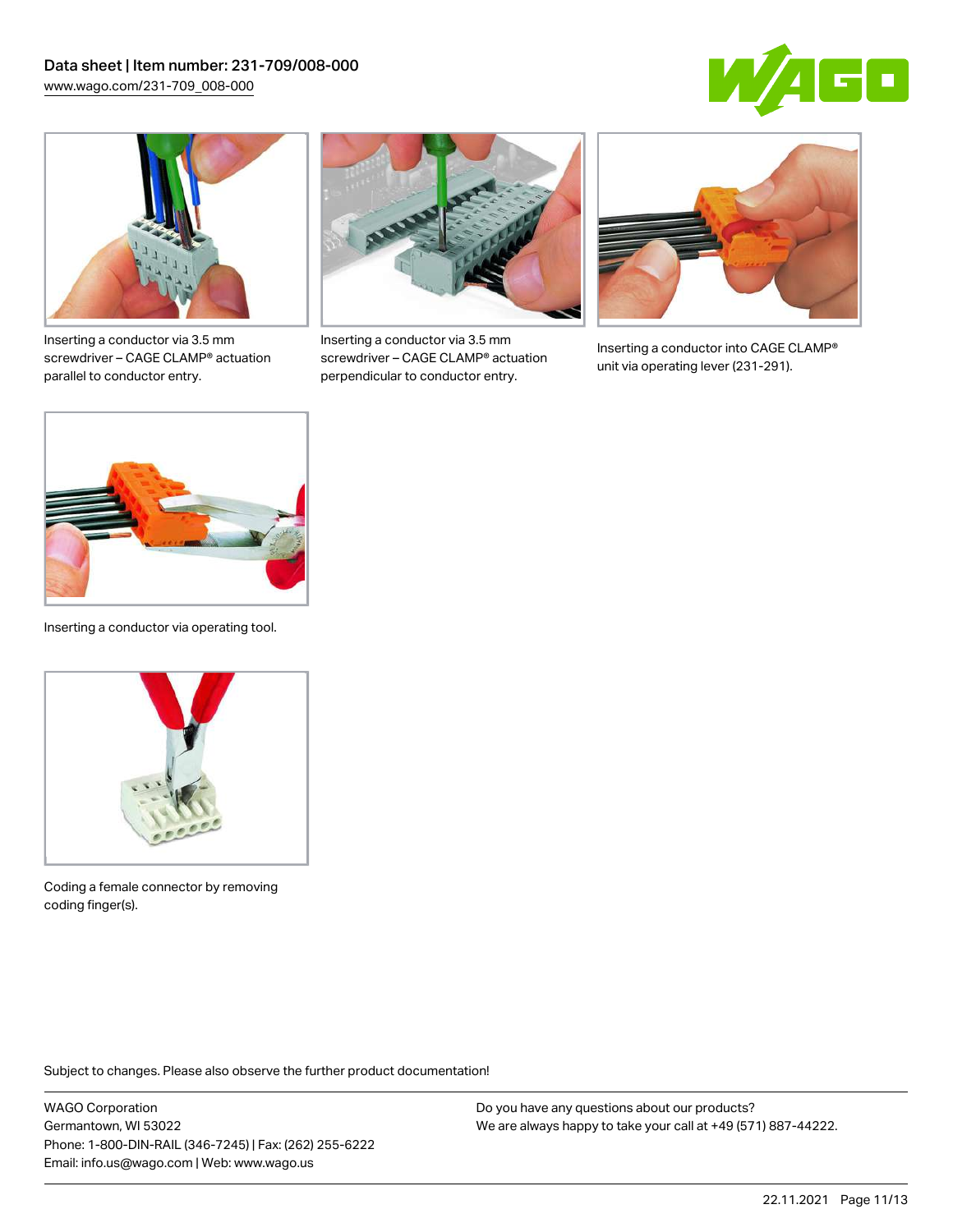



Inserting a conductor via 3.5 mm screwdriver – CAGE CLAMP® actuation parallel to conductor entry.



Inserting a conductor via 3.5 mm screwdriver – CAGE CLAMP® actuation perpendicular to conductor entry.



Inserting a conductor into CAGE CLAMP® unit via operating lever (231-291).



Inserting a conductor via operating tool.



Coding a female connector by removing coding finger(s).

Subject to changes. Please also observe the further product documentation!

WAGO Corporation Germantown, WI 53022 Phone: 1-800-DIN-RAIL (346-7245) | Fax: (262) 255-6222 Email: info.us@wago.com | Web: www.wago.us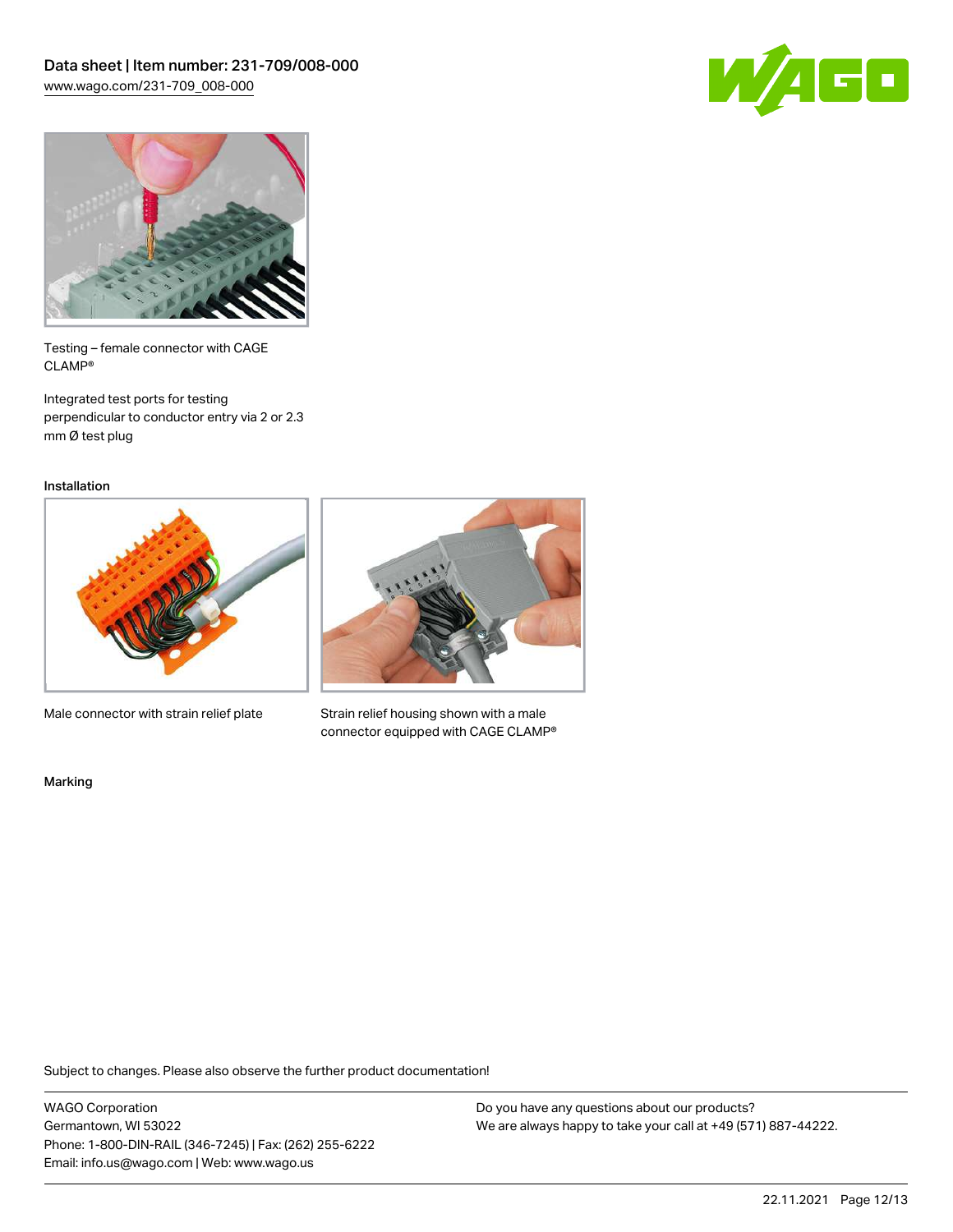



Testing – female connector with CAGE CLAMP®

Integrated test ports for testing perpendicular to conductor entry via 2 or 2.3 mm Ø test plug

Installation



Male connector with strain relief plate



Strain relief housing shown with a male connector equipped with CAGE CLAMP®

Marking

Subject to changes. Please also observe the further product documentation!

WAGO Corporation Germantown, WI 53022 Phone: 1-800-DIN-RAIL (346-7245) | Fax: (262) 255-6222 Email: info.us@wago.com | Web: www.wago.us